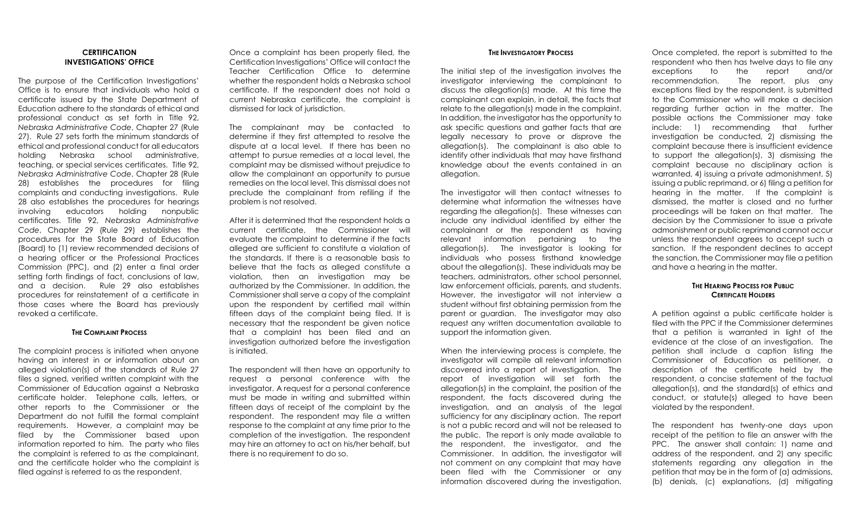#### **CERTIFICATION INVESTIGATIONS' OFFICE**

The purpose of the Certification Investigations' Office is to ensure that individuals who hold a certificate issued by the State Department of Education adhere to the standards of ethical and professional conduct as set forth in Title 92, *Nebraska Administrative Code*, Chapter 27 (Rule 27). Rule 27 sets forth the minimum standards of ethical and professional conduct for all educators holding Nebraska school administrative, teaching, or special services certificates. Title 92, *Nebraska Administrative Code*, Chapter 28 (Rule 28) establishes the procedures for filing complaints and conducting investigations. Rule 28 also establishes the procedures for hearings involving educators holding nonpublic certificates. Title 92, *Nebraska Administrative Code*, Chapter 29 (Rule 29) establishes the procedures for the State Board of Education (Board) to (1) review recommended decisions of a hearing officer or the Professional Practices Commission (PPC), and (2) enter a final order setting forth findings of fact, conclusions of law, and a decision. Rule 29 also establishes procedures for reinstatement of a certificate in those cases where the Board has previously revoked a certificate.

#### **THE COMPLAINT PROCESS**

The complaint process is initiated when anyone having an interest in or information about an alleged violation(s) of the standards of Rule 27 files a signed, verified written complaint with the Commissioner of Education against a Nebraska certificate holder. Telephone calls, letters, or other reports to the Commissioner or the Department do not fulfill the formal complaint requirements. However, a complaint may be filed by the Commissioner based upon information reported to him. The party who files the complaint is referred to as the complainant, and the certificate holder who the complaint is filed against is referred to as the respondent.

Once a complaint has been properly filed, the Certification Investigations' Office will contact the Teacher Certification Office to determine whether the respondent holds a Nebraska school certificate. If the respondent does not hold a current Nebraska certificate, the complaint is dismissed for lack of jurisdiction.

The complainant may be contacted to determine if they first attempted to resolve the dispute at a local level. If there has been no attempt to pursue remedies at a local level, the complaint may be dismissed without prejudice to allow the complainant an opportunity to pursue remedies on the local level. This dismissal does not preclude the complainant from refiling if the problem is not resolved.

After it is determined that the respondent holds a current certificate, the Commissioner will evaluate the complaint to determine if the facts alleged are sufficient to constitute a violation of the standards. If there is a reasonable basis to believe that the facts as alleged constitute a violation, then an investigation may be authorized by the Commissioner. In addition, the Commissioner shall serve a copy of the complaint upon the respondent by certified mail within fifteen days of the complaint being filed. It is necessary that the respondent be given notice that a complaint has been filed and an investigation authorized before the investigation is initiated.

The respondent will then have an opportunity to request a personal conference with the investigator. A request for a personal conference must be made in writing and submitted within fifteen days of receipt of the complaint by the respondent. The respondent may file a written response to the complaint at any time prior to the completion of the investigation. The respondent may hire an attorney to act on his/her behalf, but there is no requirement to do so.

#### **THE INVESTIGATORY PROCESS**

The initial step of the investigation involves the investigator interviewing the complainant to discuss the allegation(s) made. At this time the complainant can explain, in detail, the facts that relate to the allegation(s) made in the complaint. In addition, the investigator has the opportunity to ask specific questions and gather facts that are legally necessary to prove or disprove the allegation(s). The complainant is also able to identify other individuals that may have firsthand knowledge about the events contained in an allegation.

The investigator will then contact witnesses to determine what information the witnesses have regarding the allegation(s). These witnesses can include any individual identified by either the complainant or the respondent as having relevant information pertaining to the allegation(s). The investigator is looking for individuals who possess firsthand knowledge about the allegation(s). These individuals may be teachers, administrators, other school personnel, law enforcement officials, parents, and students. However, the investigator will not interview a student without first obtaining permission from the parent or guardian. The investigator may also request any written documentation available to support the information given.

When the interviewing process is complete, the investigator will compile all relevant information discovered into a report of investigation. The report of investigation will set forth the allegation(s) in the complaint, the position of the respondent, the facts discovered during the investigation, and an analysis of the legal sufficiency for any disciplinary action. The report is not a public record and will not be released to the public. The report is only made available to the respondent, the investigator, and the Commissioner. In addition, the investigator will not comment on any complaint that may have been filed with the Commissioner or any information discovered during the investigation.

Once completed, the report is submitted to the respondent who then has twelve days to file any exceptions to the report and/or recommendation. The report, plus any exceptions filed by the respondent, is submitted to the Commissioner who will make a decision regarding further action in the matter. The possible actions the Commissioner may take include: 1) recommending that further investigation be conducted, 2) dismissing the complaint because there is insufficient evidence to support the allegation(s), 3) dismissing the complaint because no disciplinary action is warranted, 4) issuing a private admonishment, 5) issuing a public reprimand, or 6) filing a petition for hearing in the matter. If the complaint is dismissed, the matter is closed and no further proceedings will be taken on that matter. The decision by the Commissioner to issue a private admonishment or public reprimand cannot occur unless the respondent agrees to accept such a sanction. If the respondent declines to accept the sanction, the Commissioner may file a petition and have a hearing in the matter.

### **THE HEARING PROCESS FOR PUBLIC CERTIFICATE HOLDERS**

A petition against a public certificate holder is filed with the PPC if the Commissioner determines that a petition is warranted in light of the evidence at the close of an investigation. The petition shall include a caption listing the Commissioner of Education as petitioner, a description of the certificate held by the respondent, a concise statement of the factual allegation(s), and the standard(s) of ethics and conduct, or statute(s) alleged to have been violated by the respondent.

The respondent has twenty-one days upon receipt of the petition to file an answer with the PPC. The answer shall contain: 1) name and address of the respondent, and 2) any specific statements regarding any allegation in the petition that may be in the form of (a) admissions, (b) denials, (c) explanations, (d) mitigating